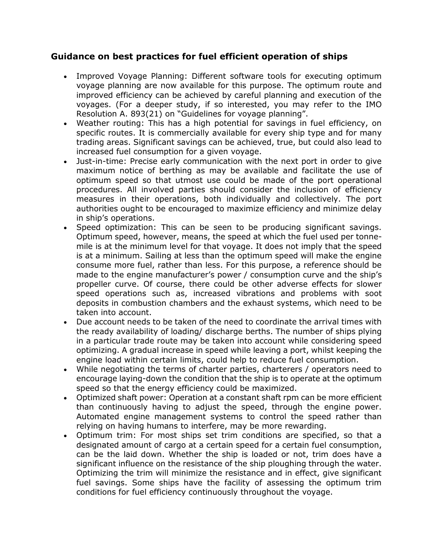## **Guidance on best practices for fuel efficient operation of ships**

- Improved Voyage Planning: Different software tools for executing optimum voyage planning are now available for this purpose. The optimum route and improved efficiency can be achieved by careful planning and execution of the voyages. (For a deeper study, if so interested, you may refer to the IMO Resolution A. 893(21) on "Guidelines for voyage planning".
- Weather routing: This has a high potential for savings in fuel efficiency, on specific routes. It is commercially available for every ship type and for many trading areas. Significant savings can be achieved, true, but could also lead to increased fuel consumption for a given voyage.
- Just-in-time: Precise early communication with the next port in order to give maximum notice of berthing as may be available and facilitate the use of optimum speed so that utmost use could be made of the port operational procedures. All involved parties should consider the inclusion of efficiency measures in their operations, both individually and collectively. The port authorities ought to be encouraged to maximize efficiency and minimize delay in ship's operations.
- Speed optimization: This can be seen to be producing significant savings. Optimum speed, however, means, the speed at which the fuel used per tonnemile is at the minimum level for that voyage. It does not imply that the speed is at a minimum. Sailing at less than the optimum speed will make the engine consume more fuel, rather than less. For this purpose, a reference should be made to the engine manufacturer's power / consumption curve and the ship's propeller curve. Of course, there could be other adverse effects for slower speed operations such as, increased vibrations and problems with soot deposits in combustion chambers and the exhaust systems, which need to be taken into account.
- Due account needs to be taken of the need to coordinate the arrival times with the ready availability of loading/ discharge berths. The number of ships plying in a particular trade route may be taken into account while considering speed optimizing. A gradual increase in speed while leaving a port, whilst keeping the engine load within certain limits, could help to reduce fuel consumption.
- While negotiating the terms of charter parties, charterers / operators need to encourage laying-down the condition that the ship is to operate at the optimum speed so that the energy efficiency could be maximized.
- Optimized shaft power: Operation at a constant shaft rpm can be more efficient than continuously having to adjust the speed, through the engine power. Automated engine management systems to control the speed rather than relying on having humans to interfere, may be more rewarding.
- Optimum trim: For most ships set trim conditions are specified, so that a designated amount of cargo at a certain speed for a certain fuel consumption, can be the laid down. Whether the ship is loaded or not, trim does have a significant influence on the resistance of the ship ploughing through the water. Optimizing the trim will minimize the resistance and in effect, give significant fuel savings. Some ships have the facility of assessing the optimum trim conditions for fuel efficiency continuously throughout the voyage.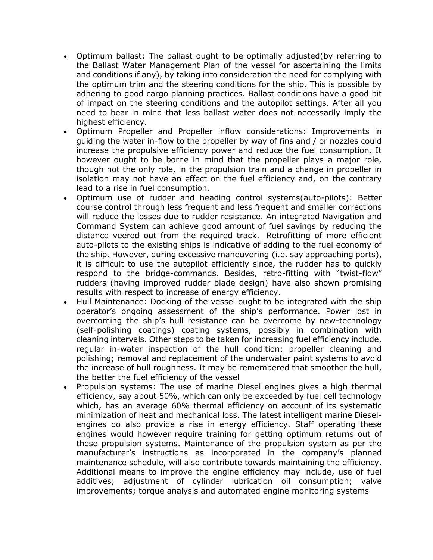- Optimum ballast: The ballast ought to be optimally adjusted(by referring to the Ballast Water Management Plan of the vessel for ascertaining the limits and conditions if any), by taking into consideration the need for complying with the optimum trim and the steering conditions for the ship. This is possible by adhering to good cargo planning practices. Ballast conditions have a good bit of impact on the steering conditions and the autopilot settings. After all you need to bear in mind that less ballast water does not necessarily imply the highest efficiency.
- Optimum Propeller and Propeller inflow considerations: Improvements in guiding the water in-flow to the propeller by way of fins and / or nozzles could increase the propulsive efficiency power and reduce the fuel consumption. It however ought to be borne in mind that the propeller plays a major role, though not the only role, in the propulsion train and a change in propeller in isolation may not have an effect on the fuel efficiency and, on the contrary lead to a rise in fuel consumption.
- Optimum use of rudder and heading control systems(auto-pilots): Better course control through less frequent and less frequent and smaller corrections will reduce the losses due to rudder resistance. An integrated Navigation and Command System can achieve good amount of fuel savings by reducing the distance veered out from the required track. Retrofitting of more efficient auto-pilots to the existing ships is indicative of adding to the fuel economy of the ship. However, during excessive maneuvering (i.e. say approaching ports), it is difficult to use the autopilot efficiently since, the rudder has to quickly respond to the bridge-commands. Besides, retro-fitting with "twist-flow" rudders (having improved rudder blade design) have also shown promising results with respect to increase of energy efficiency.
- Hull Maintenance: Docking of the vessel ought to be integrated with the ship operator's ongoing assessment of the ship's performance. Power lost in overcoming the ship's hull resistance can be overcome by new-technology (self-polishing coatings) coating systems, possibly in combination with cleaning intervals. Other steps to be taken for increasing fuel efficiency include, regular in-water inspection of the hull condition; propeller cleaning and polishing; removal and replacement of the underwater paint systems to avoid the increase of hull roughness. It may be remembered that smoother the hull, the better the fuel efficiency of the vessel
- Propulsion systems: The use of marine Diesel engines gives a high thermal efficiency, say about 50%, which can only be exceeded by fuel cell technology which, has an average 60% thermal efficiency on account of its systematic minimization of heat and mechanical loss. The latest intelligent marine Dieselengines do also provide a rise in energy efficiency. Staff operating these engines would however require training for getting optimum returns out of these propulsion systems. Maintenance of the propulsion system as per the manufacturer's instructions as incorporated in the company's planned maintenance schedule, will also contribute towards maintaining the efficiency. Additional means to improve the engine efficiency may include, use of fuel additives; adjustment of cylinder lubrication oil consumption; valve improvements; torque analysis and automated engine monitoring systems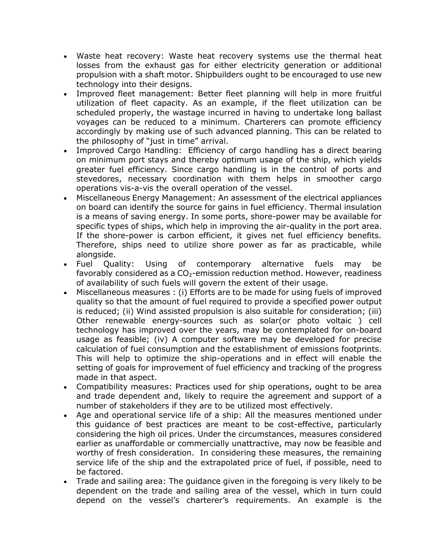- Waste heat recovery: Waste heat recovery systems use the thermal heat losses from the exhaust gas for either electricity generation or additional propulsion with a shaft motor. Shipbuilders ought to be encouraged to use new technology into their designs.
- Improved fleet management: Better fleet planning will help in more fruitful utilization of fleet capacity. As an example, if the fleet utilization can be scheduled properly, the wastage incurred in having to undertake long ballast voyages can be reduced to a minimum. Charterers can promote efficiency accordingly by making use of such advanced planning. This can be related to the philosophy of "just in time" arrival.
- Improved Cargo Handling: Efficiency of cargo handling has a direct bearing on minimum port stays and thereby optimum usage of the ship, which yields greater fuel efficiency. Since cargo handling is in the control of ports and stevedores, necessary coordination with them helps in smoother cargo operations vis-a-vis the overall operation of the vessel.
- Miscellaneous Energy Management: An assessment of the electrical appliances on board can identify the source for gains in fuel efficiency. Thermal insulation is a means of saving energy. In some ports, shore-power may be available for specific types of ships, which help in improving the air-quality in the port area. If the shore-power is carbon efficient, it gives net fuel efficiency benefits. Therefore, ships need to utilize shore power as far as practicable, while alongside.
- Fuel Quality: Using of contemporary alternative fuels may be favorably considered as a  $CO<sub>2</sub>$ -emission reduction method. However, readiness of availability of such fuels will govern the extent of their usage.
- Miscellaneous measures : (i) Efforts are to be made for using fuels of improved quality so that the amount of fuel required to provide a specified power output is reduced; (ii) Wind assisted propulsion is also suitable for consideration; (iii) Other renewable energy-sources such as solar(or photo voltaic ) cell technology has improved over the years, may be contemplated for on-board usage as feasible; (iv) A computer software may be developed for precise calculation of fuel consumption and the establishment of emissions footprints. This will help to optimize the ship-operations and in effect will enable the setting of goals for improvement of fuel efficiency and tracking of the progress made in that aspect.
- Compatibility measures: Practices used for ship operations, ought to be area and trade dependent and, likely to require the agreement and support of a number of stakeholders if they are to be utilized most effectively.
- Age and operational service life of a ship: All the measures mentioned under this guidance of best practices are meant to be cost-effective, particularly considering the high oil prices. Under the circumstances, measures considered earlier as unaffordable or commercially unattractive, may now be feasible and worthy of fresh consideration. In considering these measures, the remaining service life of the ship and the extrapolated price of fuel, if possible, need to be factored.
- Trade and sailing area: The guidance given in the foregoing is very likely to be dependent on the trade and sailing area of the vessel, which in turn could depend on the vessel's charterer's requirements. An example is the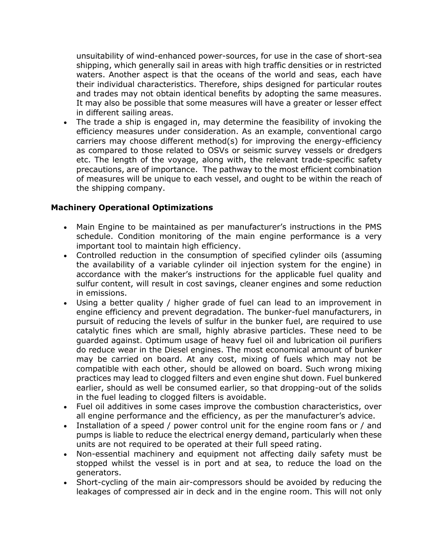unsuitability of wind-enhanced power-sources, for use in the case of short-sea shipping, which generally sail in areas with high traffic densities or in restricted waters. Another aspect is that the oceans of the world and seas, each have their individual characteristics. Therefore, ships designed for particular routes and trades may not obtain identical benefits by adopting the same measures. It may also be possible that some measures will have a greater or lesser effect in different sailing areas.

• The trade a ship is engaged in, may determine the feasibility of invoking the efficiency measures under consideration. As an example, conventional cargo carriers may choose different method(s) for improving the energy-efficiency as compared to those related to OSVs or seismic survey vessels or dredgers etc. The length of the voyage, along with, the relevant trade-specific safety precautions, are of importance. The pathway to the most efficient combination of measures will be unique to each vessel, and ought to be within the reach of the shipping company.

## **Machinery Operational Optimizations**

- Main Engine to be maintained as per manufacturer's instructions in the PMS schedule. Condition monitoring of the main engine performance is a very important tool to maintain high efficiency.
- Controlled reduction in the consumption of specified cylinder oils (assuming the availability of a variable cylinder oil injection system for the engine) in accordance with the maker's instructions for the applicable fuel quality and sulfur content, will result in cost savings, cleaner engines and some reduction in emissions.
- Using a better quality / higher grade of fuel can lead to an improvement in engine efficiency and prevent degradation. The bunker-fuel manufacturers, in pursuit of reducing the levels of sulfur in the bunker fuel, are required to use catalytic fines which are small, highly abrasive particles. These need to be guarded against. Optimum usage of heavy fuel oil and lubrication oil purifiers do reduce wear in the Diesel engines. The most economical amount of bunker may be carried on board. At any cost, mixing of fuels which may not be compatible with each other, should be allowed on board. Such wrong mixing practices may lead to clogged filters and even engine shut down. Fuel bunkered earlier, should as well be consumed earlier, so that dropping-out of the solids in the fuel leading to clogged filters is avoidable.
- Fuel oil additives in some cases improve the combustion characteristics, over all engine performance and the efficiency, as per the manufacturer's advice.
- Installation of a speed / power control unit for the engine room fans or / and pumps is liable to reduce the electrical energy demand, particularly when these units are not required to be operated at their full speed rating.
- Non-essential machinery and equipment not affecting daily safety must be stopped whilst the vessel is in port and at sea, to reduce the load on the generators.
- Short-cycling of the main air-compressors should be avoided by reducing the leakages of compressed air in deck and in the engine room. This will not only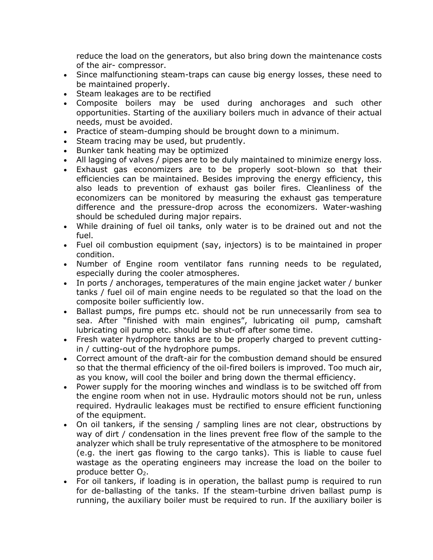reduce the load on the generators, but also bring down the maintenance costs of the air- compressor.

- Since malfunctioning steam-traps can cause big energy losses, these need to be maintained properly.
- Steam leakages are to be rectified
- Composite boilers may be used during anchorages and such other opportunities. Starting of the auxiliary boilers much in advance of their actual needs, must be avoided.
- Practice of steam-dumping should be brought down to a minimum.
- Steam tracing may be used, but prudently.
- Bunker tank heating may be optimized
- All lagging of valves / pipes are to be duly maintained to minimize energy loss.
- Exhaust gas economizers are to be properly soot-blown so that their efficiencies can be maintained. Besides improving the energy efficiency, this also leads to prevention of exhaust gas boiler fires. Cleanliness of the economizers can be monitored by measuring the exhaust gas temperature difference and the pressure-drop across the economizers. Water-washing should be scheduled during major repairs.
- While draining of fuel oil tanks, only water is to be drained out and not the fuel.
- Fuel oil combustion equipment (say, injectors) is to be maintained in proper condition.
- Number of Engine room ventilator fans running needs to be regulated, especially during the cooler atmospheres.
- In ports / anchorages, temperatures of the main engine jacket water / bunker tanks / fuel oil of main engine needs to be regulated so that the load on the composite boiler sufficiently low.
- Ballast pumps, fire pumps etc. should not be run unnecessarily from sea to sea. After "finished with main engines", lubricating oil pump, camshaft lubricating oil pump etc. should be shut-off after some time.
- Fresh water hydrophore tanks are to be properly charged to prevent cuttingin / cutting-out of the hydrophore pumps.
- Correct amount of the draft-air for the combustion demand should be ensured so that the thermal efficiency of the oil-fired boilers is improved. Too much air, as you know, will cool the boiler and bring down the thermal efficiency.
- Power supply for the mooring winches and windlass is to be switched off from the engine room when not in use. Hydraulic motors should not be run, unless required. Hydraulic leakages must be rectified to ensure efficient functioning of the equipment.
- On oil tankers, if the sensing / sampling lines are not clear, obstructions by way of dirt / condensation in the lines prevent free flow of the sample to the analyzer which shall be truly representative of the atmosphere to be monitored (e.g. the inert gas flowing to the cargo tanks). This is liable to cause fuel wastage as the operating engineers may increase the load on the boiler to produce better  $O<sub>2</sub>$ .
- For oil tankers, if loading is in operation, the ballast pump is required to run for de-ballasting of the tanks. If the steam-turbine driven ballast pump is running, the auxiliary boiler must be required to run. If the auxiliary boiler is